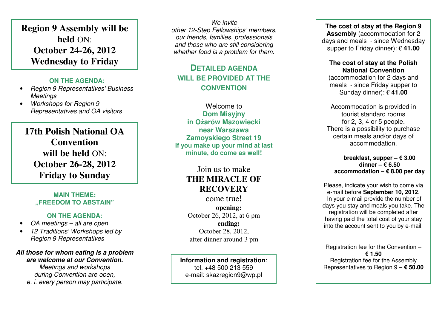**Region 9 Assembly will be held** ON: **October 24-26, 2012 Wednesday to Friday** 

#### **ON THE AGENDA:**

- Region 9 Representatives' Business **Meetings**
- Workshops for Region 9 Representatives and OA visitors

**17th Polish National OA Convention will be held** ON:**October 26-28, 2012 Friday to Sunday** 

#### **MAIN THEME: "FREEDOM TO ABSTAIN"**

#### **ON THE AGENDA:**

- OA meetings all are open
- 12 Traditions' Workshops led by Region 9 Representatives

### **All those for whom eating is a problem are welcome at our Convention.**

Meetings and workshops during Convention are open,

e. i. every person may participate.

We invite other 12-Step Fellowships' members, our friends, families, professionals and those who are still considering whether food is a problem for them.

### **DETAILED AGENDA WILL BE PROVIDED AT THE CONVENTION**

Welcome to **Dom Misyjny in O**ż**arów Mazowiecki near Warszawa Zamoyskiego Street 19 If you make up your mind at last minute, do come as well!** 

## Join us to make **THE MIRACLE OF RECOVERY**

 come true**!opening:**  October 26, 2012, at 6 pm **ending:**  October 28, 2012, after dinner around 3 pm

## **Information and registration**:

tel. +48 500 213 559 e-mail: skazregion9@wp.pl

**The cost of stay at the Region 9 Assembly** (accommodation for 2 days and meals - since Wednesday supper to Friday dinner):**€ 41.00** 

### **The cost of stay at the Polish National Convention**

 (accommodation for 2 days and meals - since Friday supper to Sunday dinner):**€ 41.00** 

Accommodation is provided in tourist standard rooms for 2, 3, 4 or 5 people. There is a possibility to purchase certain meals and/or days of accommodation.

#### **breakfast, supper – € 3.00 dinner – € 6.50 accommodation – € 8.00 per day**

Please, indicate your wish to come via e-mail before **September 10, 2012**. In your e-mail provide the number of days you stay and meals you take. The registration will be completed after having paid the total cost of your stay into the account sent to you by e-mail.

Registration fee for the Convention – **€ 1.50** Registration fee for the Assembly Representatives to Region 9 – **€ 50.00**